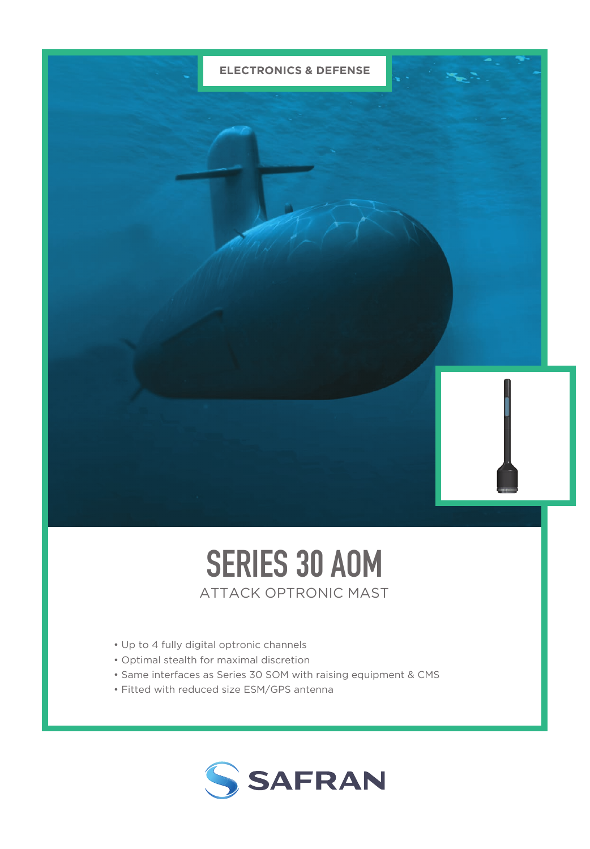

## SERIES 30 AOM ATTACK OPTRONIC MAST

- Up to 4 fully digital optronic channels
- Optimal stealth for maximal discretion
- Same interfaces as Series 30 SOM with raising equipment & CMS
- Fitted with reduced size ESM/GPS antenna